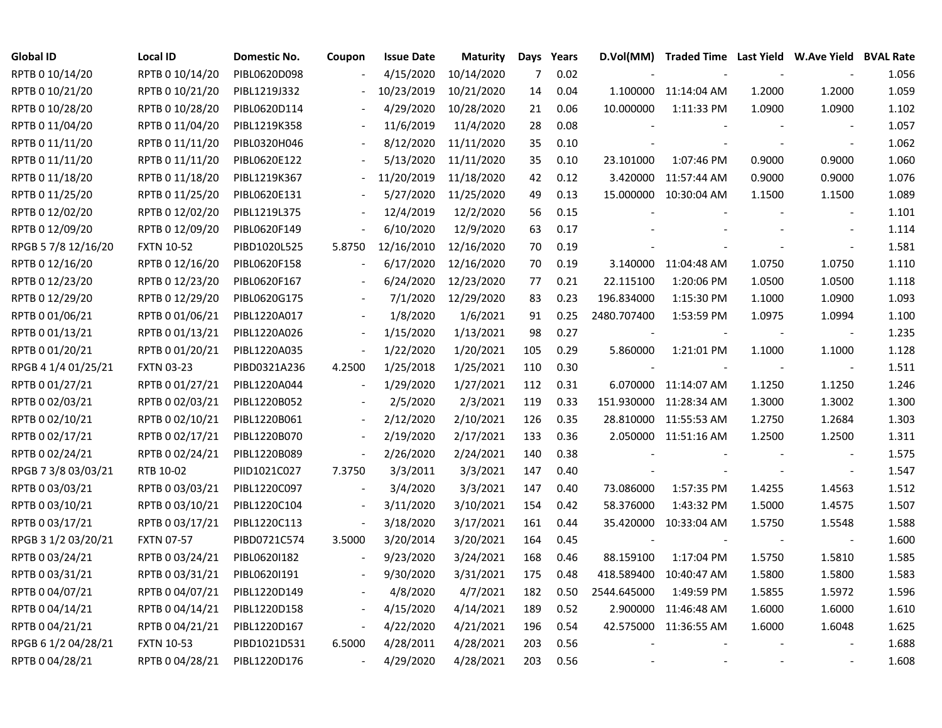| <b>Global ID</b>    | <b>Local ID</b>   | Domestic No. | Coupon                   | <b>Issue Date</b> | Maturity   |     | Days Years | D.Vol(MM)   | Traded Time Last Yield W.Ave Yield BVAL Rate |        |                          |       |
|---------------------|-------------------|--------------|--------------------------|-------------------|------------|-----|------------|-------------|----------------------------------------------|--------|--------------------------|-------|
| RPTB 0 10/14/20     | RPTB 0 10/14/20   | PIBL0620D098 |                          | 4/15/2020         | 10/14/2020 | 7   | 0.02       |             |                                              |        |                          | 1.056 |
| RPTB 0 10/21/20     | RPTB 0 10/21/20   | PIBL1219J332 |                          | 10/23/2019        | 10/21/2020 | 14  | 0.04       |             | 1.100000 11:14:04 AM                         | 1.2000 | 1.2000                   | 1.059 |
| RPTB 0 10/28/20     | RPTB 0 10/28/20   | PIBL0620D114 |                          | 4/29/2020         | 10/28/2020 | 21  | 0.06       | 10.000000   | 1:11:33 PM                                   | 1.0900 | 1.0900                   | 1.102 |
| RPTB 0 11/04/20     | RPTB 0 11/04/20   | PIBL1219K358 |                          | 11/6/2019         | 11/4/2020  | 28  | 0.08       |             |                                              |        | $\overline{\phantom{a}}$ | 1.057 |
| RPTB 0 11/11/20     | RPTB 0 11/11/20   | PIBL0320H046 | $\overline{\phantom{a}}$ | 8/12/2020         | 11/11/2020 | 35  | 0.10       |             |                                              |        | $\overline{\phantom{a}}$ | 1.062 |
| RPTB 0 11/11/20     | RPTB 0 11/11/20   | PIBL0620E122 |                          | 5/13/2020         | 11/11/2020 | 35  | 0.10       | 23.101000   | 1:07:46 PM                                   | 0.9000 | 0.9000                   | 1.060 |
| RPTB 0 11/18/20     | RPTB 0 11/18/20   | PIBL1219K367 | $\blacksquare$           | 11/20/2019        | 11/18/2020 | 42  | 0.12       | 3.420000    | 11:57:44 AM                                  | 0.9000 | 0.9000                   | 1.076 |
| RPTB 0 11/25/20     | RPTB 0 11/25/20   | PIBL0620E131 |                          | 5/27/2020         | 11/25/2020 | 49  | 0.13       |             | 15.000000 10:30:04 AM                        | 1.1500 | 1.1500                   | 1.089 |
| RPTB 0 12/02/20     | RPTB 0 12/02/20   | PIBL1219L375 |                          | 12/4/2019         | 12/2/2020  | 56  | 0.15       |             |                                              |        | $\blacksquare$           | 1.101 |
| RPTB 0 12/09/20     | RPTB 0 12/09/20   | PIBL0620F149 |                          | 6/10/2020         | 12/9/2020  | 63  | 0.17       |             |                                              |        |                          | 1.114 |
| RPGB 5 7/8 12/16/20 | <b>FXTN 10-52</b> | PIBD1020L525 | 5.8750                   | 12/16/2010        | 12/16/2020 | 70  | 0.19       |             |                                              |        | $\overline{\phantom{a}}$ | 1.581 |
| RPTB 0 12/16/20     | RPTB 0 12/16/20   | PIBL0620F158 |                          | 6/17/2020         | 12/16/2020 | 70  | 0.19       |             | 3.140000 11:04:48 AM                         | 1.0750 | 1.0750                   | 1.110 |
| RPTB 0 12/23/20     | RPTB 0 12/23/20   | PIBL0620F167 |                          | 6/24/2020         | 12/23/2020 | 77  | 0.21       | 22.115100   | 1:20:06 PM                                   | 1.0500 | 1.0500                   | 1.118 |
| RPTB 0 12/29/20     | RPTB 0 12/29/20   | PIBL0620G175 |                          | 7/1/2020          | 12/29/2020 | 83  | 0.23       | 196.834000  | 1:15:30 PM                                   | 1.1000 | 1.0900                   | 1.093 |
| RPTB 0 01/06/21     | RPTB 0 01/06/21   | PIBL1220A017 |                          | 1/8/2020          | 1/6/2021   | 91  | 0.25       | 2480.707400 | 1:53:59 PM                                   | 1.0975 | 1.0994                   | 1.100 |
| RPTB 0 01/13/21     | RPTB 0 01/13/21   | PIBL1220A026 |                          | 1/15/2020         | 1/13/2021  | 98  | 0.27       |             |                                              |        |                          | 1.235 |
| RPTB 0 01/20/21     | RPTB 0 01/20/21   | PIBL1220A035 | $\overline{\phantom{a}}$ | 1/22/2020         | 1/20/2021  | 105 | 0.29       | 5.860000    | 1:21:01 PM                                   | 1.1000 | 1.1000                   | 1.128 |
| RPGB 4 1/4 01/25/21 | <b>FXTN 03-23</b> | PIBD0321A236 | 4.2500                   | 1/25/2018         | 1/25/2021  | 110 | 0.30       |             |                                              |        | $\overline{\phantom{a}}$ | 1.511 |
| RPTB 0 01/27/21     | RPTB 0 01/27/21   | PIBL1220A044 | $\blacksquare$           | 1/29/2020         | 1/27/2021  | 112 | 0.31       |             | 6.070000 11:14:07 AM                         | 1.1250 | 1.1250                   | 1.246 |
| RPTB 0 02/03/21     | RPTB 0 02/03/21   | PIBL1220B052 |                          | 2/5/2020          | 2/3/2021   | 119 | 0.33       |             | 151.930000 11:28:34 AM                       | 1.3000 | 1.3002                   | 1.300 |
| RPTB 0 02/10/21     | RPTB 0 02/10/21   | PIBL1220B061 | $\overline{\phantom{a}}$ | 2/12/2020         | 2/10/2021  | 126 | 0.35       | 28.810000   | 11:55:53 AM                                  | 1.2750 | 1.2684                   | 1.303 |
| RPTB 0 02/17/21     | RPTB 0 02/17/21   | PIBL1220B070 | $\blacksquare$           | 2/19/2020         | 2/17/2021  | 133 | 0.36       |             | 2.050000 11:51:16 AM                         | 1.2500 | 1.2500                   | 1.311 |
| RPTB 0 02/24/21     | RPTB 0 02/24/21   | PIBL1220B089 | $\overline{\phantom{a}}$ | 2/26/2020         | 2/24/2021  | 140 | 0.38       |             |                                              |        | $\overline{\phantom{a}}$ | 1.575 |
| RPGB 7 3/8 03/03/21 | RTB 10-02         | PIID1021C027 | 7.3750                   | 3/3/2011          | 3/3/2021   | 147 | 0.40       |             |                                              |        | $\sim$                   | 1.547 |
| RPTB 0 03/03/21     | RPTB 0 03/03/21   | PIBL1220C097 | $\blacksquare$           | 3/4/2020          | 3/3/2021   | 147 | 0.40       | 73.086000   | 1:57:35 PM                                   | 1.4255 | 1.4563                   | 1.512 |
| RPTB 0 03/10/21     | RPTB 0 03/10/21   | PIBL1220C104 | $\overline{\phantom{a}}$ | 3/11/2020         | 3/10/2021  | 154 | 0.42       | 58.376000   | 1:43:32 PM                                   | 1.5000 | 1.4575                   | 1.507 |
| RPTB 0 03/17/21     | RPTB 0 03/17/21   | PIBL1220C113 | $\blacksquare$           | 3/18/2020         | 3/17/2021  | 161 | 0.44       |             | 35.420000 10:33:04 AM                        | 1.5750 | 1.5548                   | 1.588 |
| RPGB 3 1/2 03/20/21 | <b>FXTN 07-57</b> | PIBD0721C574 | 3.5000                   | 3/20/2014         | 3/20/2021  | 164 | 0.45       |             |                                              |        |                          | 1.600 |
| RPTB 0 03/24/21     | RPTB 0 03/24/21   | PIBL0620I182 |                          | 9/23/2020         | 3/24/2021  | 168 | 0.46       | 88.159100   | 1:17:04 PM                                   | 1.5750 | 1.5810                   | 1.585 |
| RPTB 0 03/31/21     | RPTB 0 03/31/21   | PIBL06201191 | $\overline{\phantom{a}}$ | 9/30/2020         | 3/31/2021  | 175 | 0.48       | 418.589400  | 10:40:47 AM                                  | 1.5800 | 1.5800                   | 1.583 |
| RPTB 0 04/07/21     | RPTB 0 04/07/21   | PIBL1220D149 |                          | 4/8/2020          | 4/7/2021   | 182 | 0.50       | 2544.645000 | 1:49:59 PM                                   | 1.5855 | 1.5972                   | 1.596 |
| RPTB 0 04/14/21     | RPTB 0 04/14/21   | PIBL1220D158 | $\overline{\phantom{a}}$ | 4/15/2020         | 4/14/2021  | 189 | 0.52       | 2.900000    | 11:46:48 AM                                  | 1.6000 | 1.6000                   | 1.610 |
| RPTB 0 04/21/21     | RPTB 0 04/21/21   | PIBL1220D167 | $\overline{\phantom{a}}$ | 4/22/2020         | 4/21/2021  | 196 | 0.54       |             | 42.575000 11:36:55 AM                        | 1.6000 | 1.6048                   | 1.625 |
| RPGB 6 1/2 04/28/21 | <b>FXTN 10-53</b> | PIBD1021D531 | 6.5000                   | 4/28/2011         | 4/28/2021  | 203 | 0.56       |             |                                              |        |                          | 1.688 |
| RPTB 0 04/28/21     | RPTB 0 04/28/21   | PIBL1220D176 | $\blacksquare$           | 4/29/2020         | 4/28/2021  | 203 | 0.56       |             |                                              |        |                          | 1.608 |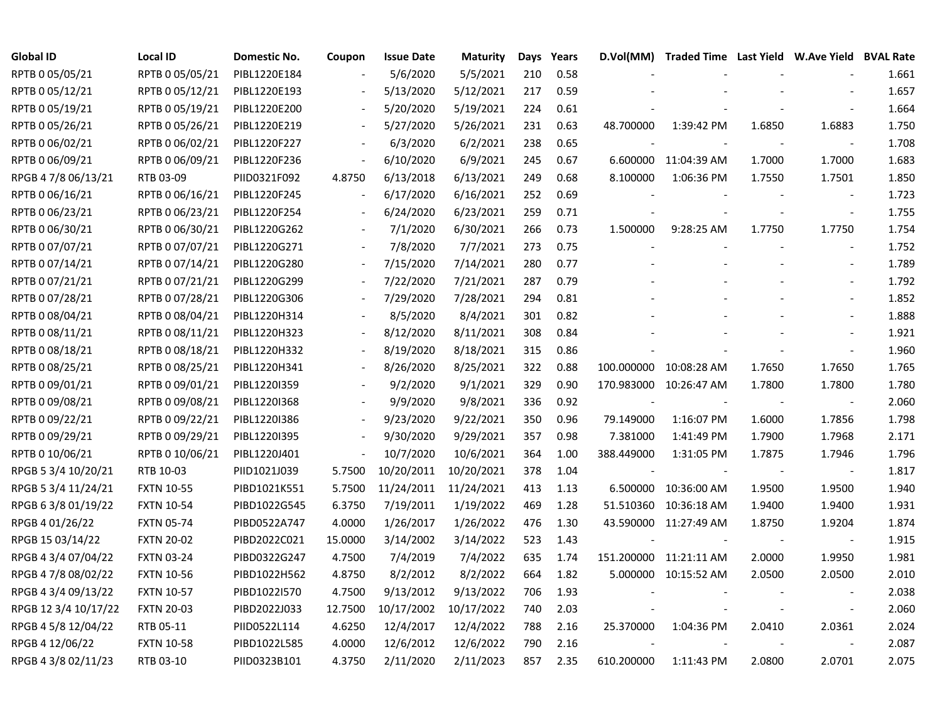| <b>Global ID</b>     | <b>Local ID</b>   | Domestic No. | Coupon                   | <b>Issue Date</b> | <b>Maturity</b> | Days | Years | D.Vol(MM)  | Traded Time Last Yield W.Ave Yield BVAL Rate |        |                          |       |
|----------------------|-------------------|--------------|--------------------------|-------------------|-----------------|------|-------|------------|----------------------------------------------|--------|--------------------------|-------|
| RPTB 0 05/05/21      | RPTB 0 05/05/21   | PIBL1220E184 |                          | 5/6/2020          | 5/5/2021        | 210  | 0.58  |            |                                              |        |                          | 1.661 |
| RPTB 0 05/12/21      | RPTB 0 05/12/21   | PIBL1220E193 |                          | 5/13/2020         | 5/12/2021       | 217  | 0.59  |            |                                              |        |                          | 1.657 |
| RPTB 0 05/19/21      | RPTB 0 05/19/21   | PIBL1220E200 |                          | 5/20/2020         | 5/19/2021       | 224  | 0.61  |            |                                              |        |                          | 1.664 |
| RPTB 0 05/26/21      | RPTB 0 05/26/21   | PIBL1220E219 | $\blacksquare$           | 5/27/2020         | 5/26/2021       | 231  | 0.63  | 48.700000  | 1:39:42 PM                                   | 1.6850 | 1.6883                   | 1.750 |
| RPTB 0 06/02/21      | RPTB 0 06/02/21   | PIBL1220F227 | $\overline{\phantom{a}}$ | 6/3/2020          | 6/2/2021        | 238  | 0.65  |            |                                              |        | $\overline{\phantom{a}}$ | 1.708 |
| RPTB 0 06/09/21      | RPTB 0 06/09/21   | PIBL1220F236 | $\overline{\phantom{a}}$ | 6/10/2020         | 6/9/2021        | 245  | 0.67  |            | 6.600000 11:04:39 AM                         | 1.7000 | 1.7000                   | 1.683 |
| RPGB 4 7/8 06/13/21  | RTB 03-09         | PIID0321F092 | 4.8750                   | 6/13/2018         | 6/13/2021       | 249  | 0.68  | 8.100000   | 1:06:36 PM                                   | 1.7550 | 1.7501                   | 1.850 |
| RPTB 0 06/16/21      | RPTB 0 06/16/21   | PIBL1220F245 |                          | 6/17/2020         | 6/16/2021       | 252  | 0.69  |            |                                              |        | $\sim$                   | 1.723 |
| RPTB 0 06/23/21      | RPTB 0 06/23/21   | PIBL1220F254 |                          | 6/24/2020         | 6/23/2021       | 259  | 0.71  |            |                                              |        | $\overline{\phantom{a}}$ | 1.755 |
| RPTB 0 06/30/21      | RPTB 0 06/30/21   | PIBL1220G262 |                          | 7/1/2020          | 6/30/2021       | 266  | 0.73  | 1.500000   | 9:28:25 AM                                   | 1.7750 | 1.7750                   | 1.754 |
| RPTB 0 07/07/21      | RPTB 0 07/07/21   | PIBL1220G271 |                          | 7/8/2020          | 7/7/2021        | 273  | 0.75  |            |                                              |        | $\blacksquare$           | 1.752 |
| RPTB 0 07/14/21      | RPTB 0 07/14/21   | PIBL1220G280 |                          | 7/15/2020         | 7/14/2021       | 280  | 0.77  |            |                                              |        | $\sim$                   | 1.789 |
| RPTB 0 07/21/21      | RPTB 0 07/21/21   | PIBL1220G299 |                          | 7/22/2020         | 7/21/2021       | 287  | 0.79  |            |                                              |        | $\blacksquare$           | 1.792 |
| RPTB 0 07/28/21      | RPTB 0 07/28/21   | PIBL1220G306 |                          | 7/29/2020         | 7/28/2021       | 294  | 0.81  |            |                                              |        |                          | 1.852 |
| RPTB 0 08/04/21      | RPTB 0 08/04/21   | PIBL1220H314 |                          | 8/5/2020          | 8/4/2021        | 301  | 0.82  |            |                                              |        |                          | 1.888 |
| RPTB 0 08/11/21      | RPTB 0 08/11/21   | PIBL1220H323 |                          | 8/12/2020         | 8/11/2021       | 308  | 0.84  |            |                                              |        |                          | 1.921 |
| RPTB 0 08/18/21      | RPTB 0 08/18/21   | PIBL1220H332 |                          | 8/19/2020         | 8/18/2021       | 315  | 0.86  |            |                                              |        |                          | 1.960 |
| RPTB 0 08/25/21      | RPTB 0 08/25/21   | PIBL1220H341 | $\overline{\phantom{a}}$ | 8/26/2020         | 8/25/2021       | 322  | 0.88  |            | 100.000000 10:08:28 AM                       | 1.7650 | 1.7650                   | 1.765 |
| RPTB 0 09/01/21      | RPTB 0 09/01/21   | PIBL12201359 |                          | 9/2/2020          | 9/1/2021        | 329  | 0.90  |            | 170.983000 10:26:47 AM                       | 1.7800 | 1.7800                   | 1.780 |
| RPTB 0 09/08/21      | RPTB 0 09/08/21   | PIBL1220I368 |                          | 9/9/2020          | 9/8/2021        | 336  | 0.92  |            |                                              |        | $\overline{\phantom{a}}$ | 2.060 |
| RPTB 0 09/22/21      | RPTB 0 09/22/21   | PIBL1220I386 | $\blacksquare$           | 9/23/2020         | 9/22/2021       | 350  | 0.96  | 79.149000  | 1:16:07 PM                                   | 1.6000 | 1.7856                   | 1.798 |
| RPTB 0 09/29/21      | RPTB 0 09/29/21   | PIBL1220I395 |                          | 9/30/2020         | 9/29/2021       | 357  | 0.98  | 7.381000   | 1:41:49 PM                                   | 1.7900 | 1.7968                   | 2.171 |
| RPTB 0 10/06/21      | RPTB 0 10/06/21   | PIBL1220J401 | $\blacksquare$           | 10/7/2020         | 10/6/2021       | 364  | 1.00  | 388.449000 | 1:31:05 PM                                   | 1.7875 | 1.7946                   | 1.796 |
| RPGB 5 3/4 10/20/21  | RTB 10-03         | PIID1021J039 | 5.7500                   | 10/20/2011        | 10/20/2021      | 378  | 1.04  |            |                                              |        | $\overline{\phantom{a}}$ | 1.817 |
| RPGB 5 3/4 11/24/21  | <b>FXTN 10-55</b> | PIBD1021K551 | 5.7500                   | 11/24/2011        | 11/24/2021      | 413  | 1.13  |            | 6.500000 10:36:00 AM                         | 1.9500 | 1.9500                   | 1.940 |
| RPGB 6 3/8 01/19/22  | <b>FXTN 10-54</b> | PIBD1022G545 | 6.3750                   | 7/19/2011         | 1/19/2022       | 469  | 1.28  |            | 51.510360 10:36:18 AM                        | 1.9400 | 1.9400                   | 1.931 |
| RPGB 4 01/26/22      | <b>FXTN 05-74</b> | PIBD0522A747 | 4.0000                   | 1/26/2017         | 1/26/2022       | 476  | 1.30  |            | 43.590000 11:27:49 AM                        | 1.8750 | 1.9204                   | 1.874 |
| RPGB 15 03/14/22     | <b>FXTN 20-02</b> | PIBD2022C021 | 15.0000                  | 3/14/2002         | 3/14/2022       | 523  | 1.43  |            |                                              |        | $\overline{\phantom{a}}$ | 1.915 |
| RPGB 4 3/4 07/04/22  | <b>FXTN 03-24</b> | PIBD0322G247 | 4.7500                   | 7/4/2019          | 7/4/2022        | 635  | 1.74  |            | 151.200000 11:21:11 AM                       | 2.0000 | 1.9950                   | 1.981 |
| RPGB 4 7/8 08/02/22  | <b>FXTN 10-56</b> | PIBD1022H562 | 4.8750                   | 8/2/2012          | 8/2/2022        | 664  | 1.82  |            | 5.000000 10:15:52 AM                         | 2.0500 | 2.0500                   | 2.010 |
| RPGB 4 3/4 09/13/22  | <b>FXTN 10-57</b> | PIBD1022I570 | 4.7500                   | 9/13/2012         | 9/13/2022       | 706  | 1.93  |            |                                              |        |                          | 2.038 |
| RPGB 12 3/4 10/17/22 | <b>FXTN 20-03</b> | PIBD2022J033 | 12.7500                  | 10/17/2002        | 10/17/2022      | 740  | 2.03  |            |                                              |        | $\overline{\phantom{a}}$ | 2.060 |
| RPGB 4 5/8 12/04/22  | RTB 05-11         | PIID0522L114 | 4.6250                   | 12/4/2017         | 12/4/2022       | 788  | 2.16  | 25.370000  | 1:04:36 PM                                   | 2.0410 | 2.0361                   | 2.024 |
| RPGB 4 12/06/22      | <b>FXTN 10-58</b> | PIBD1022L585 | 4.0000                   | 12/6/2012         | 12/6/2022       | 790  | 2.16  |            |                                              |        |                          | 2.087 |
| RPGB 4 3/8 02/11/23  | RTB 03-10         | PIID0323B101 | 4.3750                   | 2/11/2020         | 2/11/2023       | 857  | 2.35  | 610.200000 | 1:11:43 PM                                   | 2.0800 | 2.0701                   | 2.075 |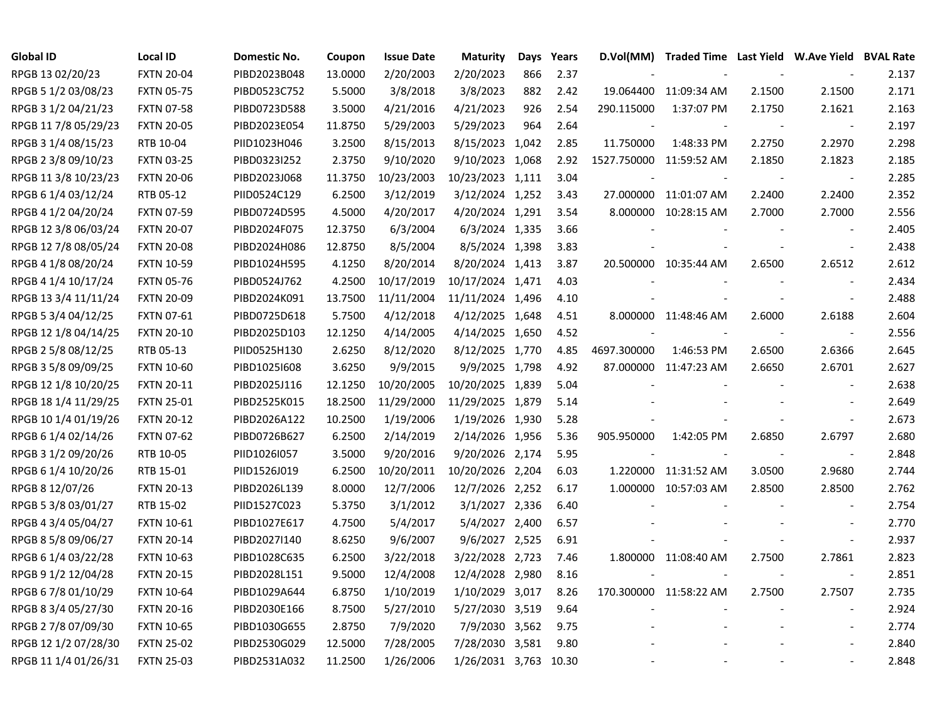| <b>Global ID</b>     | <b>Local ID</b>   | Domestic No. | Coupon  | <b>Issue Date</b> | <b>Maturity</b>       | Days | Years | D.Vol(MM)   | Traded Time Last Yield W.Ave Yield BVAL Rate |        |                          |       |
|----------------------|-------------------|--------------|---------|-------------------|-----------------------|------|-------|-------------|----------------------------------------------|--------|--------------------------|-------|
| RPGB 13 02/20/23     | <b>FXTN 20-04</b> | PIBD2023B048 | 13.0000 | 2/20/2003         | 2/20/2023             | 866  | 2.37  |             |                                              |        |                          | 2.137 |
| RPGB 5 1/2 03/08/23  | <b>FXTN 05-75</b> | PIBD0523C752 | 5.5000  | 3/8/2018          | 3/8/2023              | 882  | 2.42  | 19.064400   | 11:09:34 AM                                  | 2.1500 | 2.1500                   | 2.171 |
| RPGB 3 1/2 04/21/23  | <b>FXTN 07-58</b> | PIBD0723D588 | 3.5000  | 4/21/2016         | 4/21/2023             | 926  | 2.54  | 290.115000  | 1:37:07 PM                                   | 2.1750 | 2.1621                   | 2.163 |
| RPGB 11 7/8 05/29/23 | <b>FXTN 20-05</b> | PIBD2023E054 | 11.8750 | 5/29/2003         | 5/29/2023             | 964  | 2.64  |             |                                              |        | $\overline{\phantom{a}}$ | 2.197 |
| RPGB 3 1/4 08/15/23  | RTB 10-04         | PIID1023H046 | 3.2500  | 8/15/2013         | 8/15/2023 1,042       |      | 2.85  | 11.750000   | 1:48:33 PM                                   | 2.2750 | 2.2970                   | 2.298 |
| RPGB 2 3/8 09/10/23  | <b>FXTN 03-25</b> | PIBD0323I252 | 2.3750  | 9/10/2020         | 9/10/2023 1,068       |      | 2.92  |             | 1527.750000 11:59:52 AM                      | 2.1850 | 2.1823                   | 2.185 |
| RPGB 11 3/8 10/23/23 | <b>FXTN 20-06</b> | PIBD2023J068 | 11.3750 | 10/23/2003        | 10/23/2023 1,111      |      | 3.04  |             |                                              |        | $\overline{\phantom{a}}$ | 2.285 |
| RPGB 6 1/4 03/12/24  | RTB 05-12         | PIID0524C129 | 6.2500  | 3/12/2019         | 3/12/2024 1,252       |      | 3.43  |             | 27.000000 11:01:07 AM                        | 2.2400 | 2.2400                   | 2.352 |
| RPGB 4 1/2 04/20/24  | <b>FXTN 07-59</b> | PIBD0724D595 | 4.5000  | 4/20/2017         | 4/20/2024 1,291       |      | 3.54  |             | 8.000000 10:28:15 AM                         | 2.7000 | 2.7000                   | 2.556 |
| RPGB 12 3/8 06/03/24 | <b>FXTN 20-07</b> | PIBD2024F075 | 12.3750 | 6/3/2004          | 6/3/2024 1,335        |      | 3.66  |             |                                              |        | $\overline{\phantom{a}}$ | 2.405 |
| RPGB 12 7/8 08/05/24 | <b>FXTN 20-08</b> | PIBD2024H086 | 12.8750 | 8/5/2004          | 8/5/2024 1,398        |      | 3.83  |             |                                              |        | $\overline{\phantom{a}}$ | 2.438 |
| RPGB 4 1/8 08/20/24  | <b>FXTN 10-59</b> | PIBD1024H595 | 4.1250  | 8/20/2014         | 8/20/2024 1,413       |      | 3.87  |             | 20.500000 10:35:44 AM                        | 2.6500 | 2.6512                   | 2.612 |
| RPGB 4 1/4 10/17/24  | <b>FXTN 05-76</b> | PIBD0524J762 | 4.2500  | 10/17/2019        | 10/17/2024 1,471      |      | 4.03  |             |                                              |        | $\overline{\phantom{a}}$ | 2.434 |
| RPGB 13 3/4 11/11/24 | <b>FXTN 20-09</b> | PIBD2024K091 | 13.7500 | 11/11/2004        | 11/11/2024 1,496      |      | 4.10  |             |                                              |        | $\sim$                   | 2.488 |
| RPGB 5 3/4 04/12/25  | FXTN 07-61        | PIBD0725D618 | 5.7500  | 4/12/2018         | 4/12/2025 1,648       |      | 4.51  |             | 8.000000 11:48:46 AM                         | 2.6000 | 2.6188                   | 2.604 |
| RPGB 12 1/8 04/14/25 | <b>FXTN 20-10</b> | PIBD2025D103 | 12.1250 | 4/14/2005         | 4/14/2025 1,650       |      | 4.52  |             |                                              |        | $\blacksquare$           | 2.556 |
| RPGB 2 5/8 08/12/25  | RTB 05-13         | PIID0525H130 | 2.6250  | 8/12/2020         | 8/12/2025 1,770       |      | 4.85  | 4697.300000 | 1:46:53 PM                                   | 2.6500 | 2.6366                   | 2.645 |
| RPGB 3 5/8 09/09/25  | <b>FXTN 10-60</b> | PIBD1025I608 | 3.6250  | 9/9/2015          | 9/9/2025 1,798        |      | 4.92  |             | 87.000000 11:47:23 AM                        | 2.6650 | 2.6701                   | 2.627 |
| RPGB 12 1/8 10/20/25 | <b>FXTN 20-11</b> | PIBD2025J116 | 12.1250 | 10/20/2005        | 10/20/2025 1,839      |      | 5.04  |             |                                              |        | $\overline{\phantom{a}}$ | 2.638 |
| RPGB 18 1/4 11/29/25 | <b>FXTN 25-01</b> | PIBD2525K015 | 18.2500 | 11/29/2000        | 11/29/2025 1,879      |      | 5.14  |             |                                              |        |                          | 2.649 |
| RPGB 10 1/4 01/19/26 | <b>FXTN 20-12</b> | PIBD2026A122 | 10.2500 | 1/19/2006         | 1/19/2026 1,930       |      | 5.28  |             |                                              |        | $\overline{\phantom{a}}$ | 2.673 |
| RPGB 6 1/4 02/14/26  | <b>FXTN 07-62</b> | PIBD0726B627 | 6.2500  | 2/14/2019         | 2/14/2026 1,956       |      | 5.36  | 905.950000  | 1:42:05 PM                                   | 2.6850 | 2.6797                   | 2.680 |
| RPGB 3 1/2 09/20/26  | RTB 10-05         | PIID1026I057 | 3.5000  | 9/20/2016         | 9/20/2026 2,174       |      | 5.95  |             |                                              |        | $\overline{\phantom{a}}$ | 2.848 |
| RPGB 6 1/4 10/20/26  | RTB 15-01         | PIID1526J019 | 6.2500  | 10/20/2011        | 10/20/2026 2,204      |      | 6.03  | 1.220000    | 11:31:52 AM                                  | 3.0500 | 2.9680                   | 2.744 |
| RPGB 8 12/07/26      | <b>FXTN 20-13</b> | PIBD2026L139 | 8.0000  | 12/7/2006         | 12/7/2026 2,252       |      | 6.17  |             | 1.000000 10:57:03 AM                         | 2.8500 | 2.8500                   | 2.762 |
| RPGB 5 3/8 03/01/27  | RTB 15-02         | PIID1527C023 | 5.3750  | 3/1/2012          | 3/1/2027 2,336        |      | 6.40  |             |                                              |        | $\overline{\phantom{a}}$ | 2.754 |
| RPGB 4 3/4 05/04/27  | <b>FXTN 10-61</b> | PIBD1027E617 | 4.7500  | 5/4/2017          | 5/4/2027 2,400        |      | 6.57  |             |                                              |        | $\mathbf{r}$             | 2.770 |
| RPGB 8 5/8 09/06/27  | <b>FXTN 20-14</b> | PIBD2027I140 | 8.6250  | 9/6/2007          | 9/6/2027 2,525        |      | 6.91  |             |                                              |        | $\blacksquare$           | 2.937 |
| RPGB 6 1/4 03/22/28  | <b>FXTN 10-63</b> | PIBD1028C635 | 6.2500  | 3/22/2018         | 3/22/2028 2,723       |      | 7.46  |             | 1.800000 11:08:40 AM                         | 2.7500 | 2.7861                   | 2.823 |
| RPGB 9 1/2 12/04/28  | <b>FXTN 20-15</b> | PIBD2028L151 | 9.5000  | 12/4/2008         | 12/4/2028 2,980       |      | 8.16  |             |                                              |        | $\overline{\phantom{a}}$ | 2.851 |
| RPGB 6 7/8 01/10/29  | <b>FXTN 10-64</b> | PIBD1029A644 | 6.8750  | 1/10/2019         | 1/10/2029 3,017       |      | 8.26  |             | 170.300000 11:58:22 AM                       | 2.7500 | 2.7507                   | 2.735 |
| RPGB 8 3/4 05/27/30  | <b>FXTN 20-16</b> | PIBD2030E166 | 8.7500  | 5/27/2010         | 5/27/2030 3,519       |      | 9.64  |             |                                              |        | $\blacksquare$           | 2.924 |
| RPGB 2 7/8 07/09/30  | <b>FXTN 10-65</b> | PIBD1030G655 | 2.8750  | 7/9/2020          | 7/9/2030 3,562        |      | 9.75  |             |                                              |        | $\blacksquare$           | 2.774 |
| RPGB 12 1/2 07/28/30 | <b>FXTN 25-02</b> | PIBD2530G029 | 12.5000 | 7/28/2005         | 7/28/2030 3,581       |      | 9.80  |             |                                              |        |                          | 2.840 |
| RPGB 11 1/4 01/26/31 | <b>FXTN 25-03</b> | PIBD2531A032 | 11.2500 | 1/26/2006         | 1/26/2031 3,763 10.30 |      |       |             |                                              |        |                          | 2.848 |